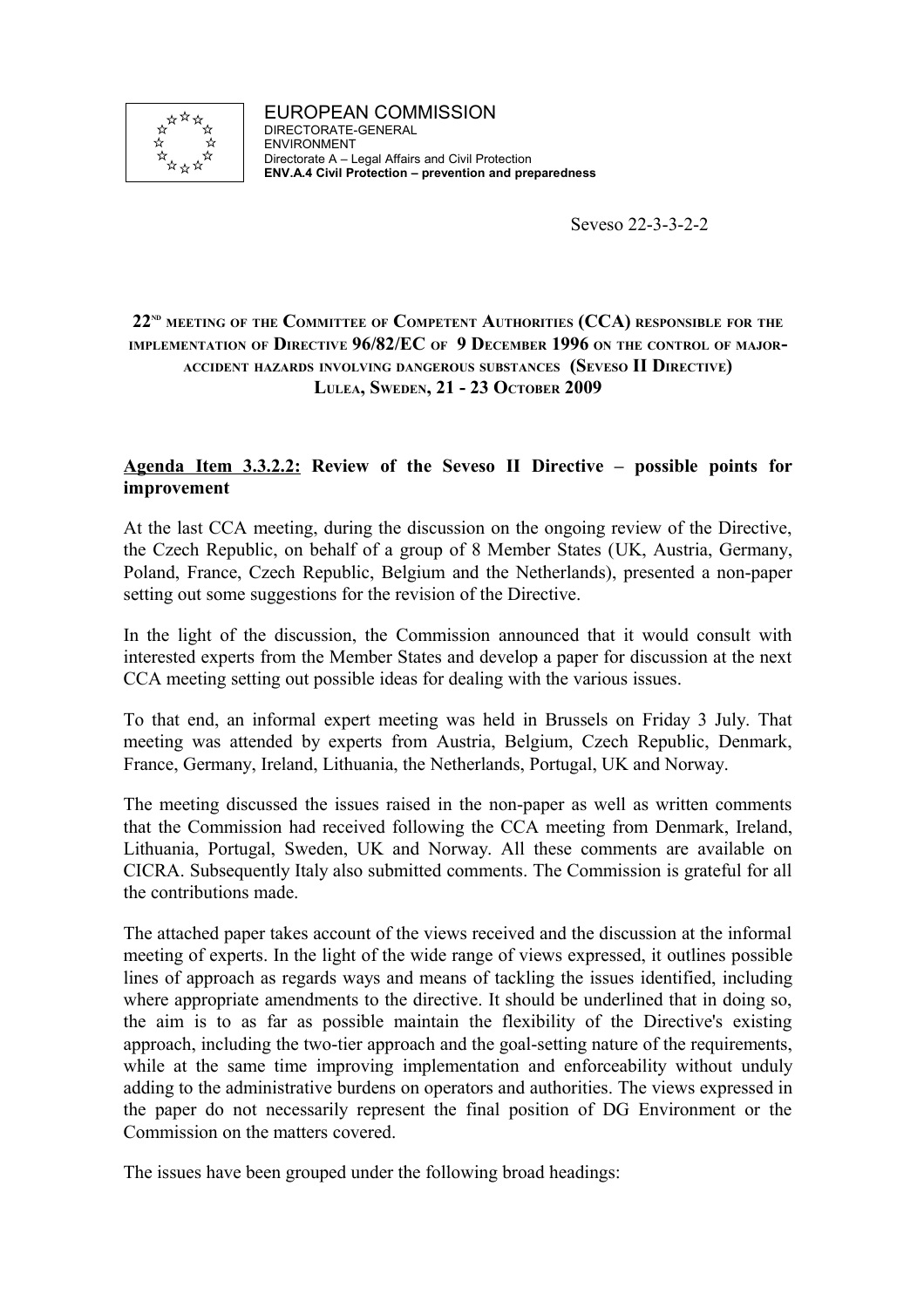

Seveso 22-3-3-2-2

# **22ND MEETING OF THE COMMITTEE OF COMPETENT AUTHORITIES (CCA) RESPONSIBLE FOR THE IMPLEMENTATION OF DIRECTIVE 96/82/EC OF 9 DECEMBER 1996 ON THE CONTROL OF MAJOR-ACCIDENT HAZARDS INVOLVING DANGEROUS SUBSTANCES (SEVESO II DIRECTIVE) LULEA, SWEDEN, 21 - 23 OCTOBER 2009**

# **Agenda Item 3.3.2.2: Review of the Seveso II Directive – possible points for improvement**

At the last CCA meeting, during the discussion on the ongoing review of the Directive, the Czech Republic, on behalf of a group of 8 Member States (UK, Austria, Germany, Poland, France, Czech Republic, Belgium and the Netherlands), presented a non-paper setting out some suggestions for the revision of the Directive.

In the light of the discussion, the Commission announced that it would consult with interested experts from the Member States and develop a paper for discussion at the next CCA meeting setting out possible ideas for dealing with the various issues.

To that end, an informal expert meeting was held in Brussels on Friday 3 July. That meeting was attended by experts from Austria, Belgium, Czech Republic, Denmark, France, Germany, Ireland, Lithuania, the Netherlands, Portugal, UK and Norway.

The meeting discussed the issues raised in the non-paper as well as written comments that the Commission had received following the CCA meeting from Denmark, Ireland, Lithuania, Portugal, Sweden, UK and Norway. All these comments are available on CICRA. Subsequently Italy also submitted comments. The Commission is grateful for all the contributions made.

The attached paper takes account of the views received and the discussion at the informal meeting of experts. In the light of the wide range of views expressed, it outlines possible lines of approach as regards ways and means of tackling the issues identified, including where appropriate amendments to the directive. It should be underlined that in doing so, the aim is to as far as possible maintain the flexibility of the Directive's existing approach, including the two-tier approach and the goal-setting nature of the requirements, while at the same time improving implementation and enforceability without unduly adding to the administrative burdens on operators and authorities. The views expressed in the paper do not necessarily represent the final position of DG Environment or the Commission on the matters covered.

The issues have been grouped under the following broad headings: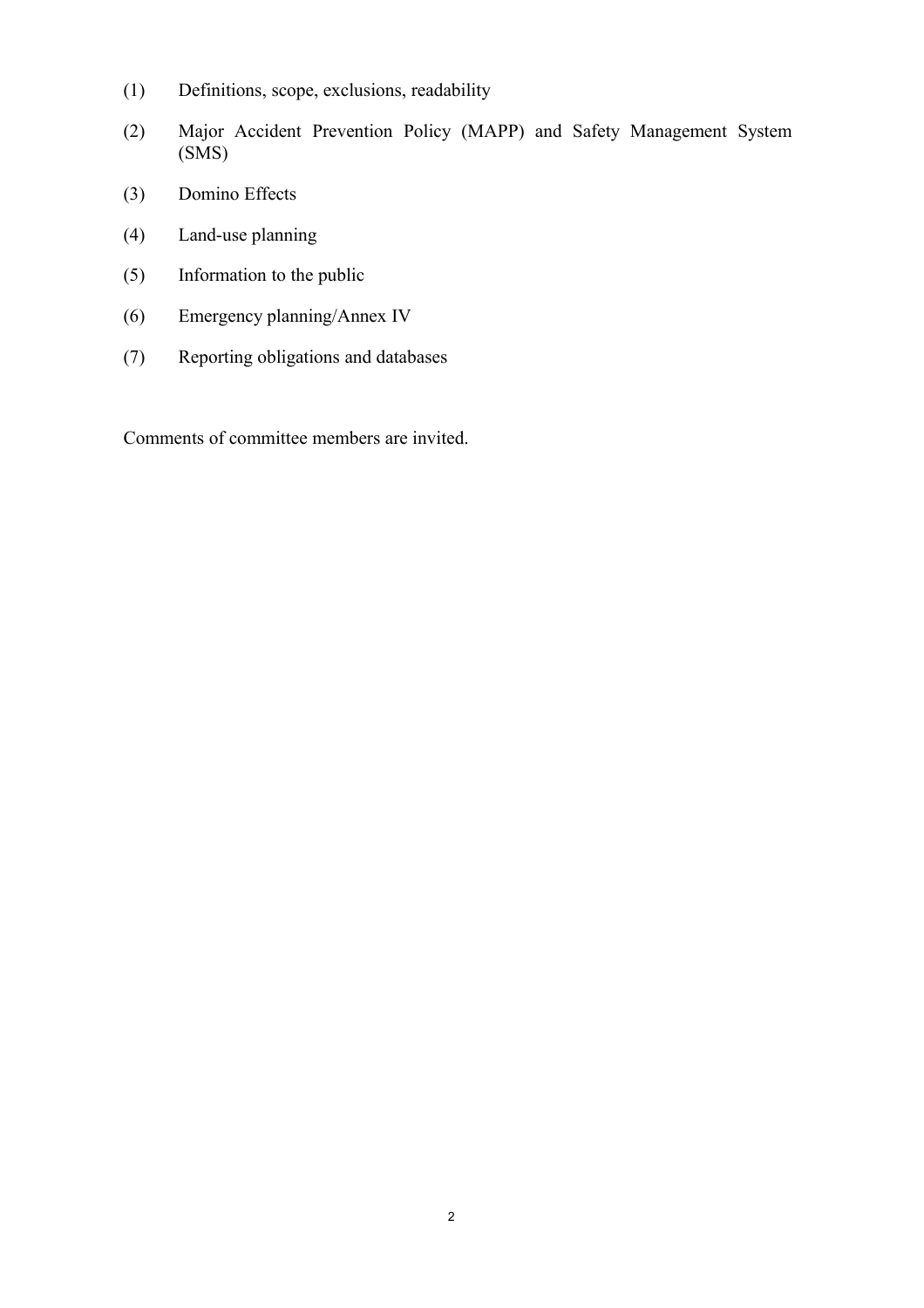- (1) Definitions, scope, exclusions, readability
- (2) Major Accident Prevention Policy (MAPP) and Safety Management System (SMS)
- (3) Domino Effects
- (4) Land-use planning
- (5) Information to the public
- (6) Emergency planning/Annex IV
- (7) Reporting obligations and databases

Comments of committee members are invited.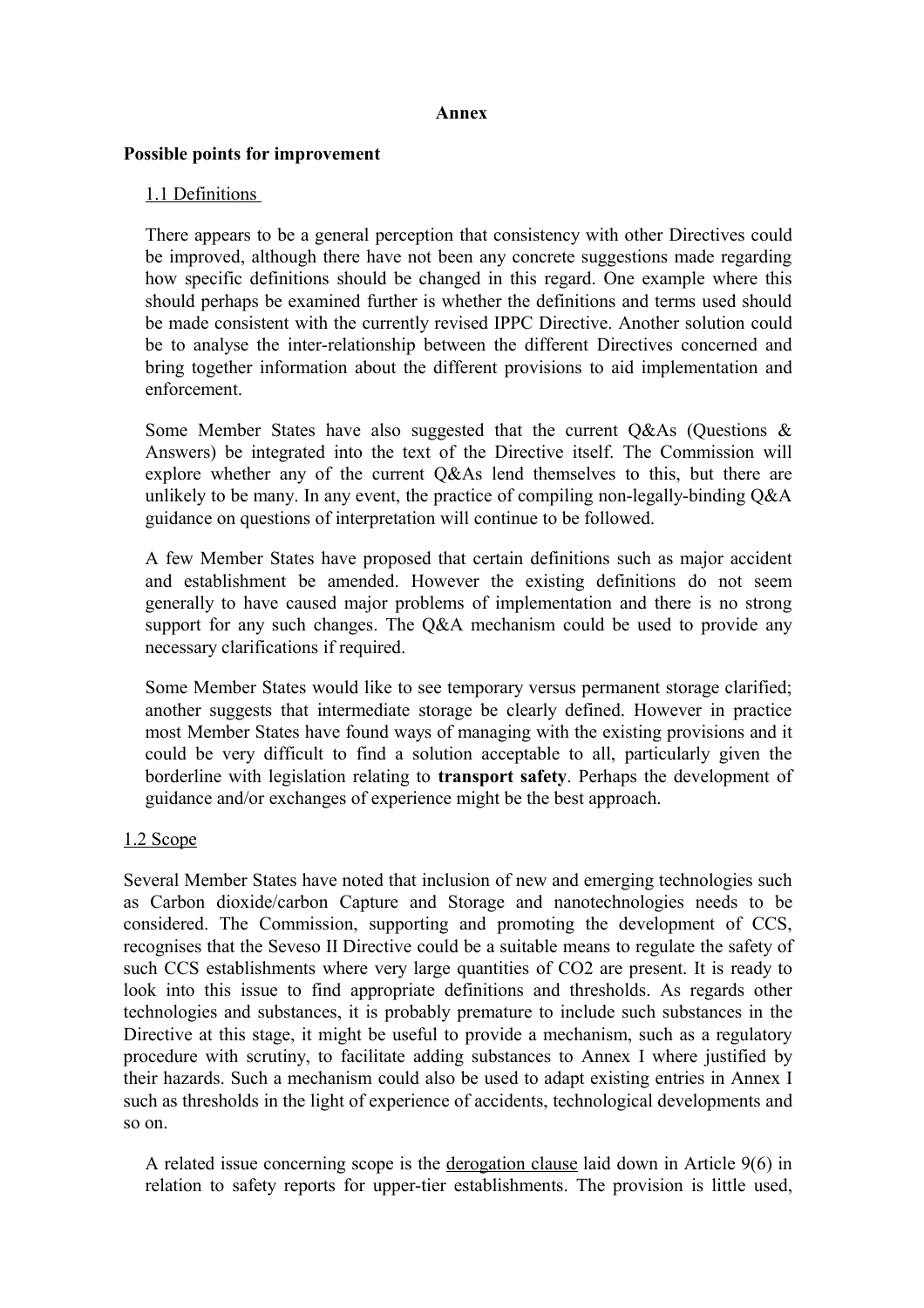#### **Annex**

#### **Possible points for improvement**

### 1.1 Definitions

There appears to be a general perception that consistency with other Directives could be improved, although there have not been any concrete suggestions made regarding how specific definitions should be changed in this regard. One example where this should perhaps be examined further is whether the definitions and terms used should be made consistent with the currently revised IPPC Directive. Another solution could be to analyse the inter-relationship between the different Directives concerned and bring together information about the different provisions to aid implementation and enforcement.

Some Member States have also suggested that the current Q&As (Questions & Answers) be integrated into the text of the Directive itself. The Commission will explore whether any of the current Q&As lend themselves to this, but there are unlikely to be many. In any event, the practice of compiling non-legally-binding Q&A guidance on questions of interpretation will continue to be followed.

A few Member States have proposed that certain definitions such as major accident and establishment be amended. However the existing definitions do not seem generally to have caused major problems of implementation and there is no strong support for any such changes. The Q&A mechanism could be used to provide any necessary clarifications if required.

Some Member States would like to see temporary versus permanent storage clarified; another suggests that intermediate storage be clearly defined. However in practice most Member States have found ways of managing with the existing provisions and it could be very difficult to find a solution acceptable to all, particularly given the borderline with legislation relating to **transport safety**. Perhaps the development of guidance and/or exchanges of experience might be the best approach.

#### 1.2 Scope

Several Member States have noted that inclusion of new and emerging technologies such as Carbon dioxide/carbon Capture and Storage and nanotechnologies needs to be considered. The Commission, supporting and promoting the development of CCS, recognises that the Seveso II Directive could be a suitable means to regulate the safety of such CCS establishments where very large quantities of CO2 are present. It is ready to look into this issue to find appropriate definitions and thresholds. As regards other technologies and substances, it is probably premature to include such substances in the Directive at this stage, it might be useful to provide a mechanism, such as a regulatory procedure with scrutiny, to facilitate adding substances to Annex I where justified by their hazards. Such a mechanism could also be used to adapt existing entries in Annex I such as thresholds in the light of experience of accidents, technological developments and so on.

A related issue concerning scope is the derogation clause laid down in Article 9(6) in relation to safety reports for upper-tier establishments. The provision is little used,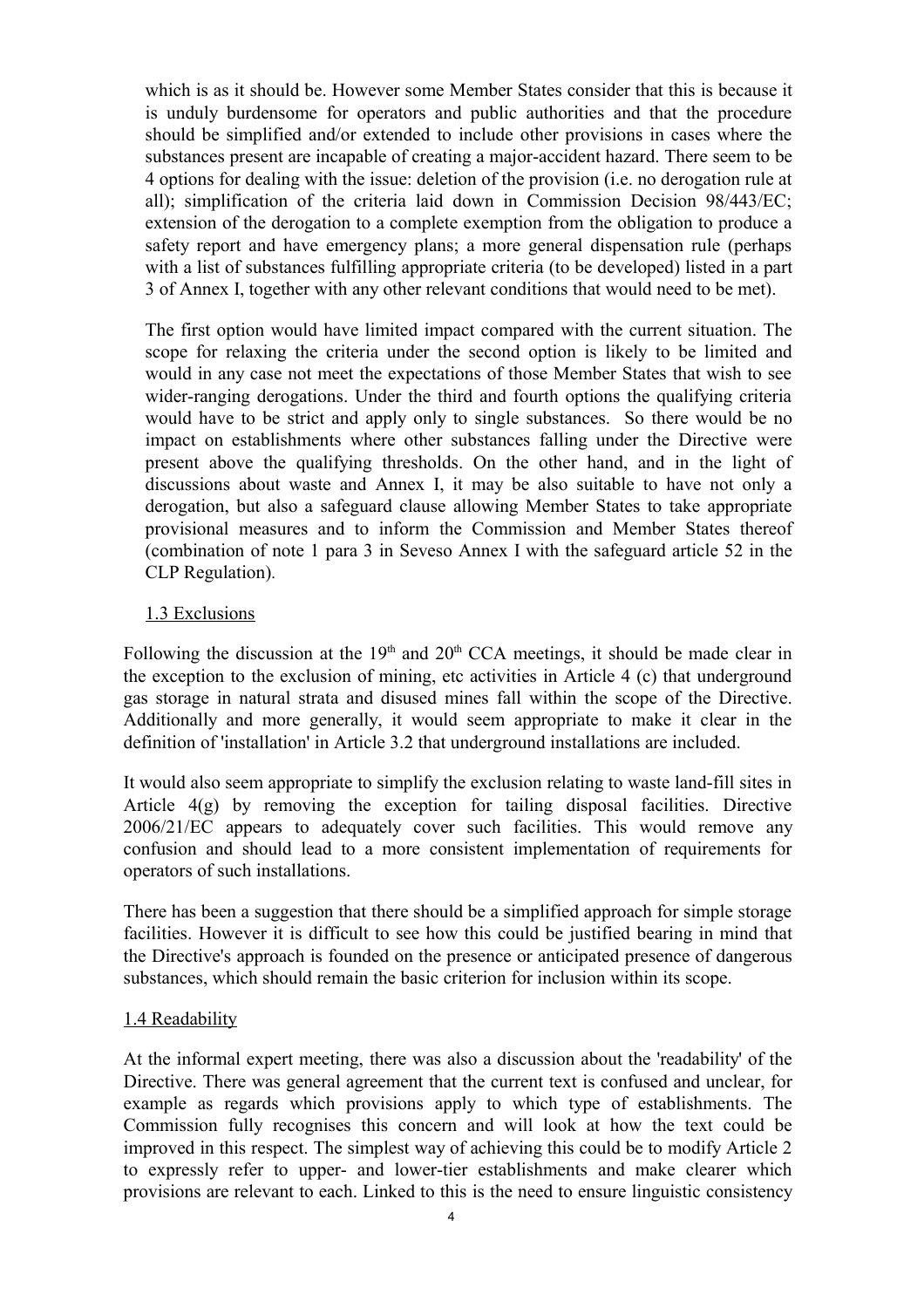which is as it should be. However some Member States consider that this is because it is unduly burdensome for operators and public authorities and that the procedure should be simplified and/or extended to include other provisions in cases where the substances present are incapable of creating a major-accident hazard. There seem to be 4 options for dealing with the issue: deletion of the provision (i.e. no derogation rule at all); simplification of the criteria laid down in Commission Decision 98/443/EC; extension of the derogation to a complete exemption from the obligation to produce a safety report and have emergency plans; a more general dispensation rule (perhaps with a list of substances fulfilling appropriate criteria (to be developed) listed in a part 3 of Annex I, together with any other relevant conditions that would need to be met).

The first option would have limited impact compared with the current situation. The scope for relaxing the criteria under the second option is likely to be limited and would in any case not meet the expectations of those Member States that wish to see wider-ranging derogations. Under the third and fourth options the qualifying criteria would have to be strict and apply only to single substances. So there would be no impact on establishments where other substances falling under the Directive were present above the qualifying thresholds. On the other hand, and in the light of discussions about waste and Annex I, it may be also suitable to have not only a derogation, but also a safeguard clause allowing Member States to take appropriate provisional measures and to inform the Commission and Member States thereof (combination of note 1 para 3 in Seveso Annex I with the safeguard article 52 in the CLP Regulation)*.* 

## 1.3 Exclusions

Following the discussion at the  $19<sup>th</sup>$  and  $20<sup>th</sup>$  CCA meetings, it should be made clear in the exception to the exclusion of mining, etc activities in Article 4 (c) that underground gas storage in natural strata and disused mines fall within the scope of the Directive. Additionally and more generally, it would seem appropriate to make it clear in the definition of 'installation' in Article 3.2 that underground installations are included.

It would also seem appropriate to simplify the exclusion relating to waste land-fill sites in Article 4(g) by removing the exception for tailing disposal facilities. Directive 2006/21/EC appears to adequately cover such facilities. This would remove any confusion and should lead to a more consistent implementation of requirements for operators of such installations.

There has been a suggestion that there should be a simplified approach for simple storage facilities. However it is difficult to see how this could be justified bearing in mind that the Directive's approach is founded on the presence or anticipated presence of dangerous substances, which should remain the basic criterion for inclusion within its scope.

#### 1.4 Readability

At the informal expert meeting, there was also a discussion about the 'readability' of the Directive. There was general agreement that the current text is confused and unclear, for example as regards which provisions apply to which type of establishments. The Commission fully recognises this concern and will look at how the text could be improved in this respect. The simplest way of achieving this could be to modify Article 2 to expressly refer to upper- and lower-tier establishments and make clearer which provisions are relevant to each. Linked to this is the need to ensure linguistic consistency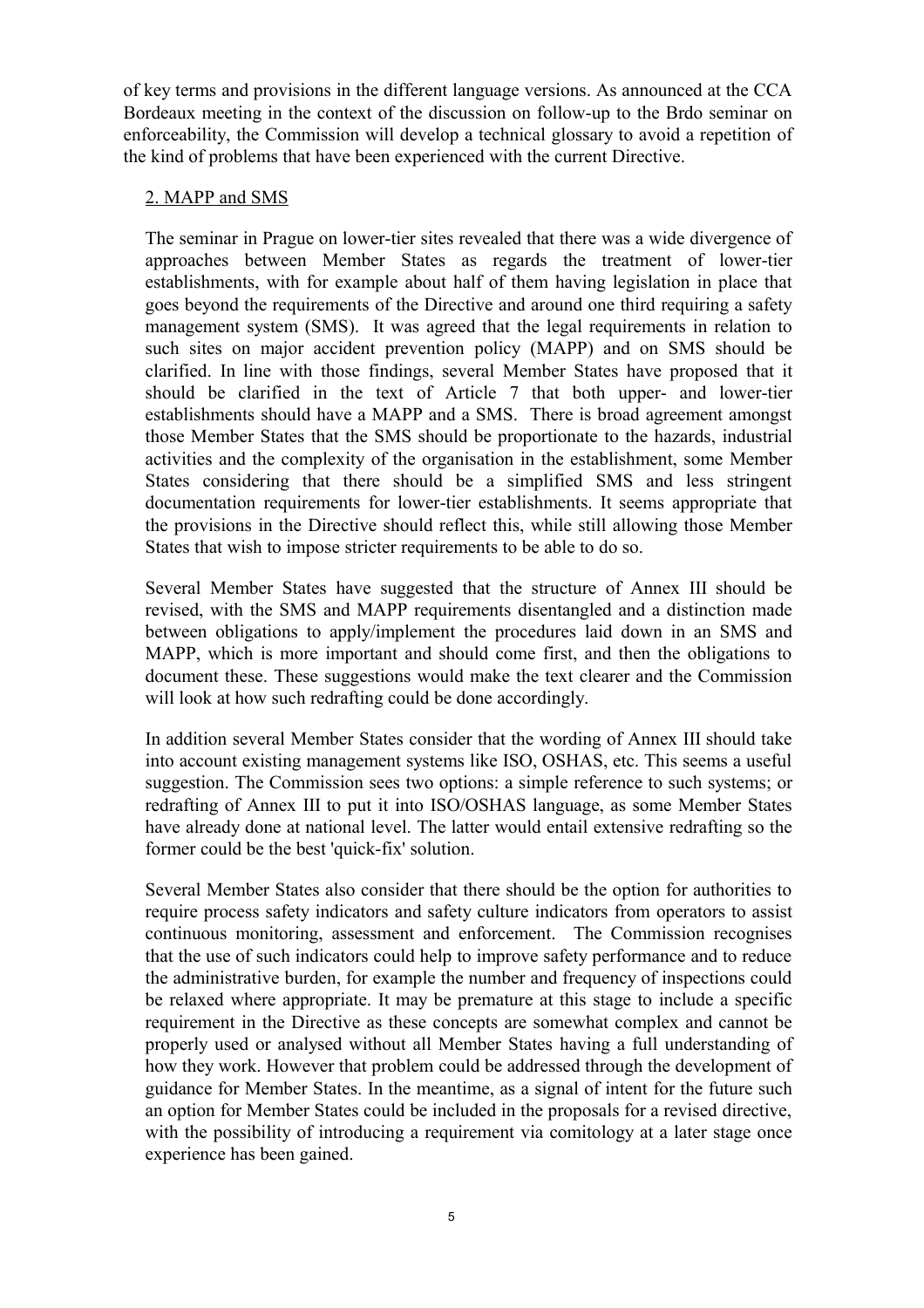of key terms and provisions in the different language versions. As announced at the CCA Bordeaux meeting in the context of the discussion on follow-up to the Brdo seminar on enforceability, the Commission will develop a technical glossary to avoid a repetition of the kind of problems that have been experienced with the current Directive.

## 2. MAPP and SMS

The seminar in Prague on lower-tier sites revealed that there was a wide divergence of approaches between Member States as regards the treatment of lower-tier establishments, with for example about half of them having legislation in place that goes beyond the requirements of the Directive and around one third requiring a safety management system (SMS). It was agreed that the legal requirements in relation to such sites on major accident prevention policy (MAPP) and on SMS should be clarified. In line with those findings, several Member States have proposed that it should be clarified in the text of Article 7 that both upper- and lower-tier establishments should have a MAPP and a SMS. There is broad agreement amongst those Member States that the SMS should be proportionate to the hazards, industrial activities and the complexity of the organisation in the establishment, some Member States considering that there should be a simplified SMS and less stringent documentation requirements for lower-tier establishments. It seems appropriate that the provisions in the Directive should reflect this, while still allowing those Member States that wish to impose stricter requirements to be able to do so.

Several Member States have suggested that the structure of Annex III should be revised, with the SMS and MAPP requirements disentangled and a distinction made between obligations to apply/implement the procedures laid down in an SMS and MAPP, which is more important and should come first, and then the obligations to document these. These suggestions would make the text clearer and the Commission will look at how such redrafting could be done accordingly.

In addition several Member States consider that the wording of Annex III should take into account existing management systems like ISO, OSHAS, etc. This seems a useful suggestion. The Commission sees two options: a simple reference to such systems; or redrafting of Annex III to put it into ISO/OSHAS language, as some Member States have already done at national level. The latter would entail extensive redrafting so the former could be the best 'quick-fix' solution.

Several Member States also consider that there should be the option for authorities to require process safety indicators and safety culture indicators from operators to assist continuous monitoring, assessment and enforcement. The Commission recognises that the use of such indicators could help to improve safety performance and to reduce the administrative burden, for example the number and frequency of inspections could be relaxed where appropriate. It may be premature at this stage to include a specific requirement in the Directive as these concepts are somewhat complex and cannot be properly used or analysed without all Member States having a full understanding of how they work. However that problem could be addressed through the development of guidance for Member States. In the meantime, as a signal of intent for the future such an option for Member States could be included in the proposals for a revised directive, with the possibility of introducing a requirement via comitology at a later stage once experience has been gained.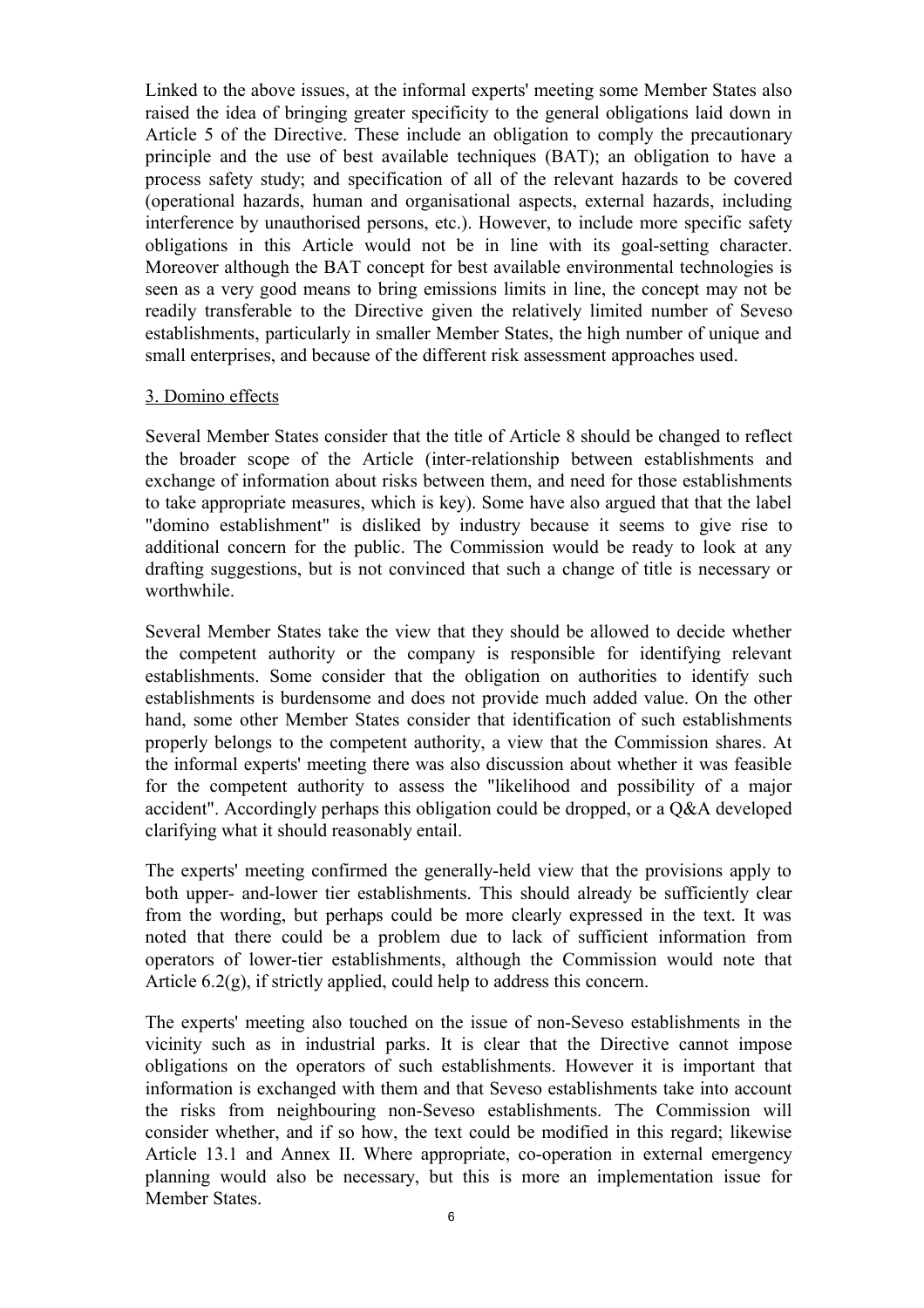Linked to the above issues, at the informal experts' meeting some Member States also raised the idea of bringing greater specificity to the general obligations laid down in Article 5 of the Directive. These include an obligation to comply the precautionary principle and the use of best available techniques (BAT); an obligation to have a process safety study; and specification of all of the relevant hazards to be covered (operational hazards, human and organisational aspects, external hazards, including interference by unauthorised persons, etc.). However, to include more specific safety obligations in this Article would not be in line with its goal-setting character. Moreover although the BAT concept for best available environmental technologies is seen as a very good means to bring emissions limits in line, the concept may not be readily transferable to the Directive given the relatively limited number of Seveso establishments, particularly in smaller Member States, the high number of unique and small enterprises, and because of the different risk assessment approaches used.

#### 3. Domino effects

Several Member States consider that the title of Article 8 should be changed to reflect the broader scope of the Article (inter-relationship between establishments and exchange of information about risks between them, and need for those establishments to take appropriate measures, which is key). Some have also argued that that the label "domino establishment" is disliked by industry because it seems to give rise to additional concern for the public. The Commission would be ready to look at any drafting suggestions, but is not convinced that such a change of title is necessary or worthwhile.

Several Member States take the view that they should be allowed to decide whether the competent authority or the company is responsible for identifying relevant establishments. Some consider that the obligation on authorities to identify such establishments is burdensome and does not provide much added value. On the other hand, some other Member States consider that identification of such establishments properly belongs to the competent authority, a view that the Commission shares. At the informal experts' meeting there was also discussion about whether it was feasible for the competent authority to assess the "likelihood and possibility of a major accident". Accordingly perhaps this obligation could be dropped, or a Q&A developed clarifying what it should reasonably entail.

The experts' meeting confirmed the generally-held view that the provisions apply to both upper- and-lower tier establishments. This should already be sufficiently clear from the wording, but perhaps could be more clearly expressed in the text. It was noted that there could be a problem due to lack of sufficient information from operators of lower-tier establishments, although the Commission would note that Article 6.2(g), if strictly applied, could help to address this concern.

The experts' meeting also touched on the issue of non-Seveso establishments in the vicinity such as in industrial parks. It is clear that the Directive cannot impose obligations on the operators of such establishments. However it is important that information is exchanged with them and that Seveso establishments take into account the risks from neighbouring non-Seveso establishments. The Commission will consider whether, and if so how, the text could be modified in this regard; likewise Article 13.1 and Annex II. Where appropriate, co-operation in external emergency planning would also be necessary, but this is more an implementation issue for Member States.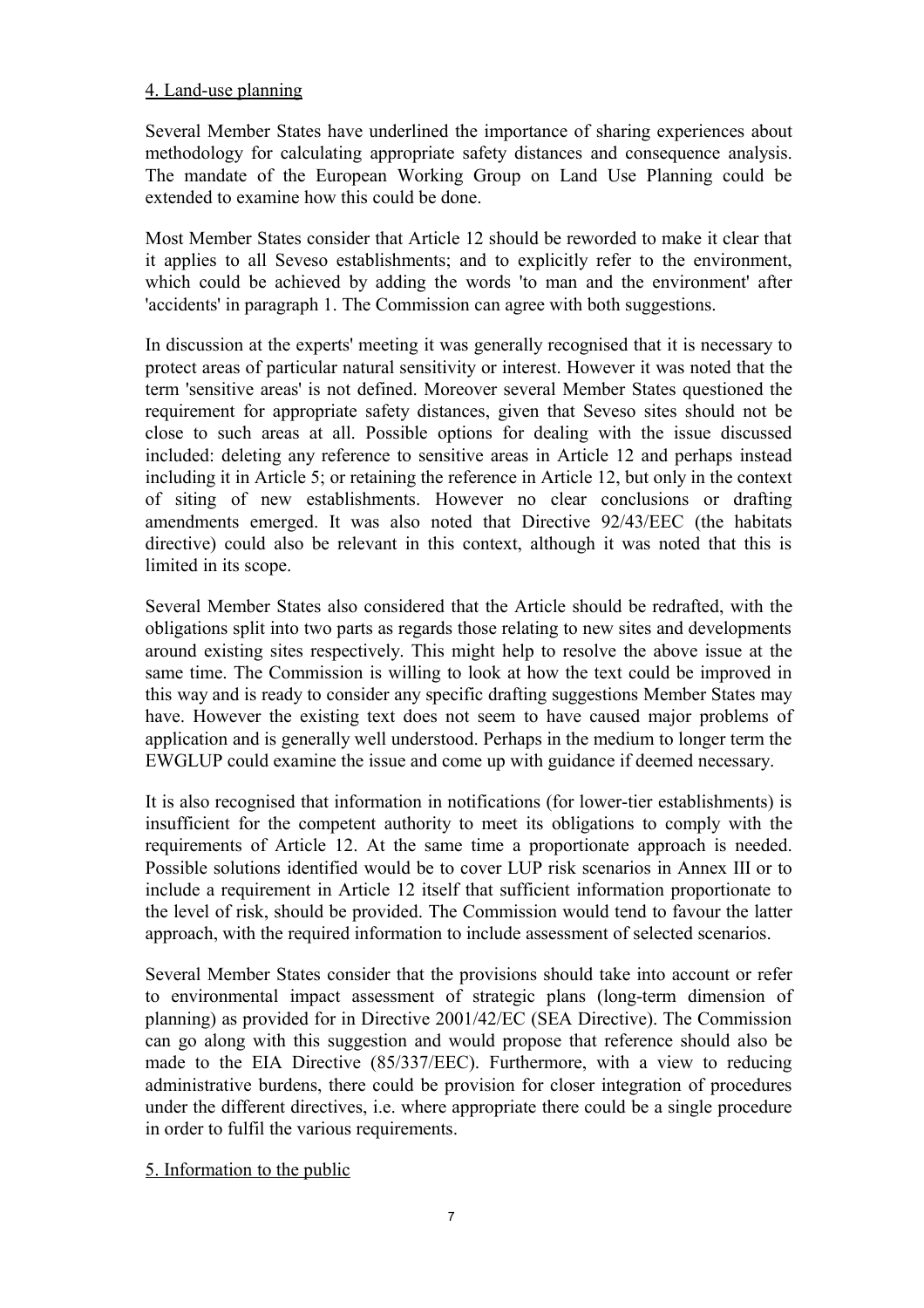## 4. Land-use planning

Several Member States have underlined the importance of sharing experiences about methodology for calculating appropriate safety distances and consequence analysis. The mandate of the European Working Group on Land Use Planning could be extended to examine how this could be done.

Most Member States consider that Article 12 should be reworded to make it clear that it applies to all Seveso establishments; and to explicitly refer to the environment, which could be achieved by adding the words 'to man and the environment' after 'accidents' in paragraph 1. The Commission can agree with both suggestions.

In discussion at the experts' meeting it was generally recognised that it is necessary to protect areas of particular natural sensitivity or interest. However it was noted that the term 'sensitive areas' is not defined. Moreover several Member States questioned the requirement for appropriate safety distances, given that Seveso sites should not be close to such areas at all. Possible options for dealing with the issue discussed included: deleting any reference to sensitive areas in Article 12 and perhaps instead including it in Article 5; or retaining the reference in Article 12, but only in the context of siting of new establishments. However no clear conclusions or drafting amendments emerged. It was also noted that Directive 92/43/EEC (the habitats directive) could also be relevant in this context, although it was noted that this is limited in its scope.

Several Member States also considered that the Article should be redrafted, with the obligations split into two parts as regards those relating to new sites and developments around existing sites respectively. This might help to resolve the above issue at the same time. The Commission is willing to look at how the text could be improved in this way and is ready to consider any specific drafting suggestions Member States may have. However the existing text does not seem to have caused major problems of application and is generally well understood. Perhaps in the medium to longer term the EWGLUP could examine the issue and come up with guidance if deemed necessary.

It is also recognised that information in notifications (for lower-tier establishments) is insufficient for the competent authority to meet its obligations to comply with the requirements of Article 12. At the same time a proportionate approach is needed. Possible solutions identified would be to cover LUP risk scenarios in Annex III or to include a requirement in Article 12 itself that sufficient information proportionate to the level of risk, should be provided. The Commission would tend to favour the latter approach, with the required information to include assessment of selected scenarios.

Several Member States consider that the provisions should take into account or refer to environmental impact assessment of strategic plans (long-term dimension of planning) as provided for in Directive 2001/42/EC (SEA Directive). The Commission can go along with this suggestion and would propose that reference should also be made to the EIA Directive (85/337/EEC). Furthermore, with a view to reducing administrative burdens, there could be provision for closer integration of procedures under the different directives, i.e. where appropriate there could be a single procedure in order to fulfil the various requirements.

5. Information to the public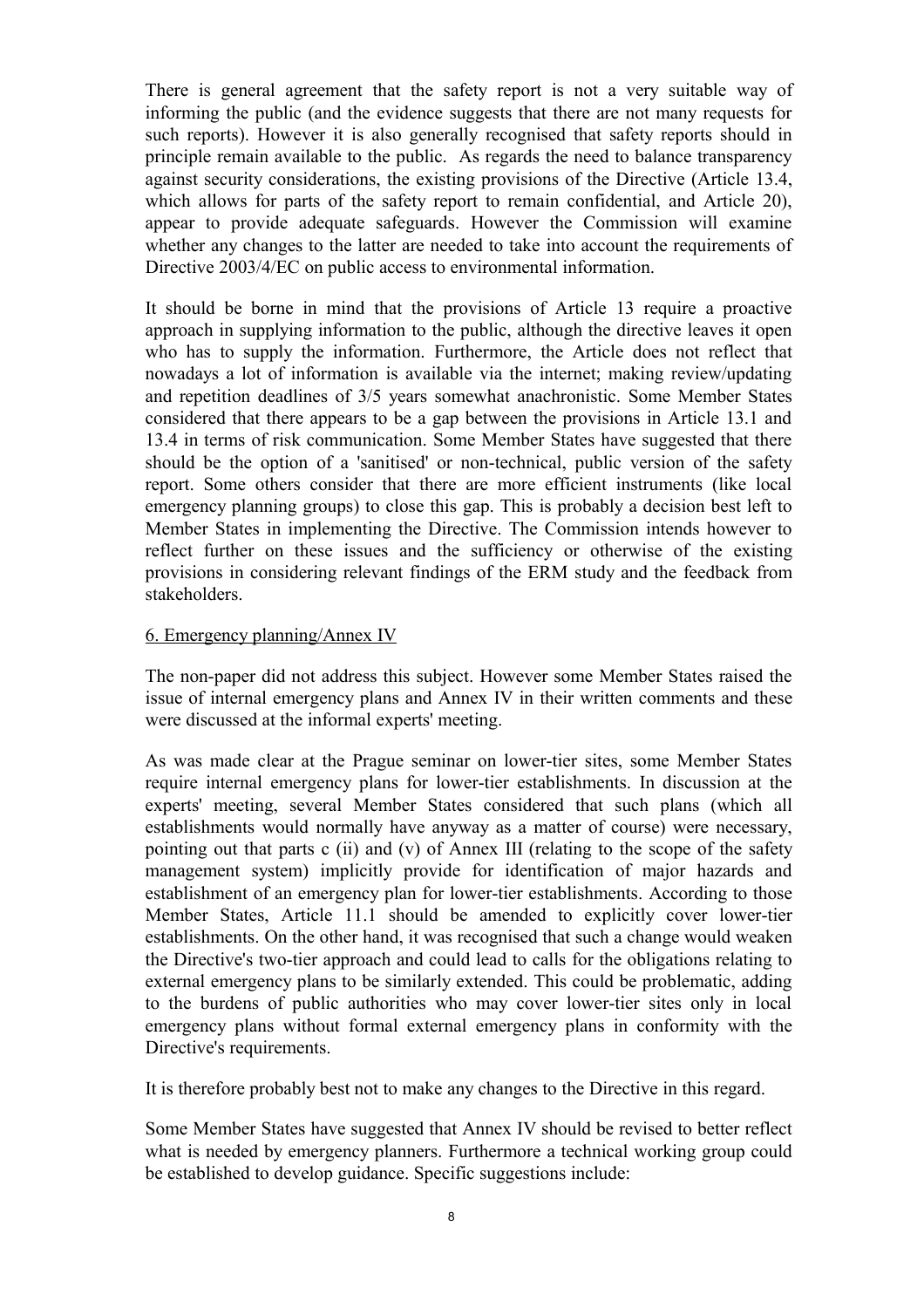There is general agreement that the safety report is not a very suitable way of informing the public (and the evidence suggests that there are not many requests for such reports). However it is also generally recognised that safety reports should in principle remain available to the public. As regards the need to balance transparency against security considerations, the existing provisions of the Directive (Article 13.4, which allows for parts of the safety report to remain confidential, and Article 20), appear to provide adequate safeguards. However the Commission will examine whether any changes to the latter are needed to take into account the requirements of Directive 2003/4/EC on public access to environmental information.

It should be borne in mind that the provisions of Article 13 require a proactive approach in supplying information to the public, although the directive leaves it open who has to supply the information. Furthermore, the Article does not reflect that nowadays a lot of information is available via the internet; making review/updating and repetition deadlines of 3/5 years somewhat anachronistic. Some Member States considered that there appears to be a gap between the provisions in Article 13.1 and 13.4 in terms of risk communication. Some Member States have suggested that there should be the option of a 'sanitised' or non-technical, public version of the safety report. Some others consider that there are more efficient instruments (like local emergency planning groups) to close this gap. This is probably a decision best left to Member States in implementing the Directive. The Commission intends however to reflect further on these issues and the sufficiency or otherwise of the existing provisions in considering relevant findings of the ERM study and the feedback from stakeholders.

## 6. Emergency planning/Annex IV

The non-paper did not address this subject. However some Member States raised the issue of internal emergency plans and Annex IV in their written comments and these were discussed at the informal experts' meeting.

As was made clear at the Prague seminar on lower-tier sites, some Member States require internal emergency plans for lower-tier establishments. In discussion at the experts' meeting, several Member States considered that such plans (which all establishments would normally have anyway as a matter of course) were necessary, pointing out that parts c (ii) and (v) of Annex III (relating to the scope of the safety management system) implicitly provide for identification of major hazards and establishment of an emergency plan for lower-tier establishments. According to those Member States, Article 11.1 should be amended to explicitly cover lower-tier establishments. On the other hand, it was recognised that such a change would weaken the Directive's two-tier approach and could lead to calls for the obligations relating to external emergency plans to be similarly extended. This could be problematic, adding to the burdens of public authorities who may cover lower-tier sites only in local emergency plans without formal external emergency plans in conformity with the Directive's requirements.

It is therefore probably best not to make any changes to the Directive in this regard.

Some Member States have suggested that Annex IV should be revised to better reflect what is needed by emergency planners. Furthermore a technical working group could be established to develop guidance. Specific suggestions include: